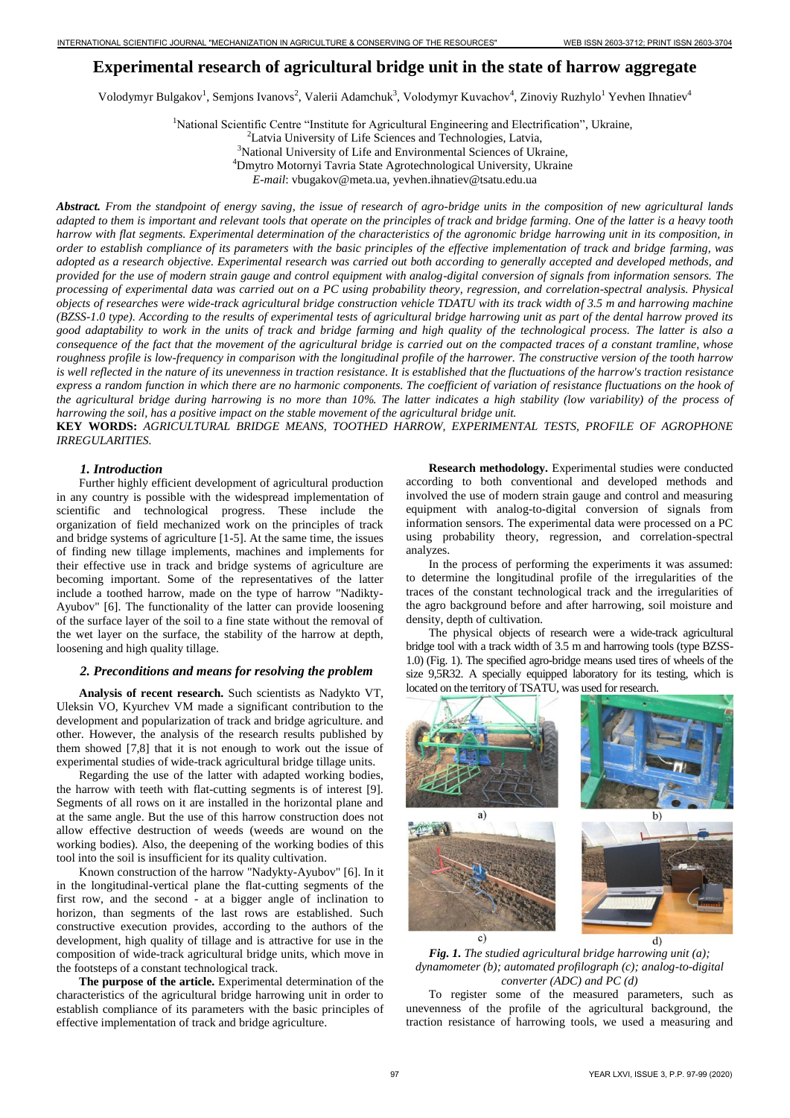# **Experimental research of agricultural bridge unit in the state of harrow aggregate**

Volodymyr Bulgakov<sup>1</sup>, Semjons Ivanovs<sup>2</sup>, Valerii Adamchuk<sup>3</sup>, Volodymyr Kuvachov<sup>4</sup>, Zinoviy Ruzhylo<sup>1</sup> Yevhen Ihnatiev<sup>4</sup>

<sup>1</sup>National Scientific Centre "Institute for Agricultural Engineering and Electrification", Ukraine,

<sup>2</sup>Latvia University of Life Sciences and Technologies, Latvia, <sup>3</sup>National University of Life and Environmental Sciences of Ukraine, <sup>4</sup>Dmytro Motornyi Tavria State Agrotechnological University, Ukraine

*E-mail*: vbugakov@meta.ua, yevhen.ihnatiev@tsatu.edu.ua

*Abstract. From the standpoint of energy saving, the issue of research of agro-bridge units in the composition of new agricultural lands adapted to them is important and relevant tools that operate on the principles of track and bridge farming. One of the latter is a heavy tooth harrow with flat segments. Experimental determination of the characteristics of the agronomic bridge harrowing unit in its composition, in order to establish compliance of its parameters with the basic principles of the effective implementation of track and bridge farming, was adopted as a research objective. Experimental research was carried out both according to generally accepted and developed methods, and provided for the use of modern strain gauge and control equipment with analog-digital conversion of signals from information sensors. The processing of experimental data was carried out on a PC using probability theory, regression, and correlation-spectral analysis. Physical objects of researches were wide-track agricultural bridge construction vehicle TDATU with its track width of 3.5 m and harrowing machine (BZSS-1.0 type). According to the results of experimental tests of agricultural bridge harrowing unit as part of the dental harrow proved its good adaptability to work in the units of track and bridge farming and high quality of the technological process. The latter is also a consequence of the fact that the movement of the agricultural bridge is carried out on the compacted traces of a constant tramline, whose roughness profile is low-frequency in comparison with the longitudinal profile of the harrower. The constructive version of the tooth harrow is well reflected in the nature of its unevenness in traction resistance. It is established that the fluctuations of the harrow's traction resistance express a random function in which there are no harmonic components. The coefficient of variation of resistance fluctuations on the hook of the agricultural bridge during harrowing is no more than 10%. The latter indicates a high stability (low variability) of the process of harrowing the soil, has a positive impact on the stable movement of the agricultural bridge unit.* 

**KEY WORDS:** *AGRICULTURAL BRIDGE MEANS, TOOTHED HARROW, EXPERIMENTAL TESTS, PROFILE OF AGROPHONE IRREGULARITIES.*

## *1. Introduction*

Further highly efficient development of agricultural production in any country is possible with the widespread implementation of scientific and technological progress. These include the organization of field mechanized work on the principles of track and bridge systems of agriculture [1-5]. At the same time, the issues of finding new tillage implements, machines and implements for their effective use in track and bridge systems of agriculture are becoming important. Some of the representatives of the latter include a toothed harrow, made on the type of harrow "Nadikty-Ayubov" [6]. The functionality of the latter can provide loosening of the surface layer of the soil to a fine state without the removal of the wet layer on the surface, the stability of the harrow at depth, loosening and high quality tillage.

### *2. Preconditions and means for resolving the problem*

**Analysis of recent research.** Such scientists as Nadykto VT, Uleksin VO, Kyurchev VM made a significant contribution to the development and popularization of track and bridge agriculture. and other. However, the analysis of the research results published by them showed [7,8] that it is not enough to work out the issue of experimental studies of wide-track agricultural bridge tillage units.

Regarding the use of the latter with adapted working bodies, the harrow with teeth with flat-cutting segments is of interest [9]. Segments of all rows on it are installed in the horizontal plane and at the same angle. But the use of this harrow construction does not allow effective destruction of weeds (weeds are wound on the working bodies). Also, the deepening of the working bodies of this tool into the soil is insufficient for its quality cultivation.

Known construction of the harrow "Nadykty-Ayubov" [6]. In it in the longitudinal-vertical plane the flat-cutting segments of the first row, and the second - at a bigger angle of inclination to horizon, than segments of the last rows are established. Such constructive execution provides, according to the authors of the development, high quality of tillage and is attractive for use in the composition of wide-track agricultural bridge units, which move in the footsteps of a constant technological track.

**The purpose of the article.** Experimental determination of the characteristics of the agricultural bridge harrowing unit in order to establish compliance of its parameters with the basic principles of effective implementation of track and bridge agriculture.

**Research methodology.** Experimental studies were conducted according to both conventional and developed methods and involved the use of modern strain gauge and control and measuring equipment with analog-to-digital conversion of signals from information sensors. The experimental data were processed on a PC using probability theory, regression, and correlation-spectral analyzes.

In the process of performing the experiments it was assumed: to determine the longitudinal profile of the irregularities of the traces of the constant technological track and the irregularities of the agro background before and after harrowing, soil moisture and density, depth of cultivation.

The physical objects of research were a wide-track agricultural bridge tool with a track width of 3.5 m and harrowing tools (type BZSS-1.0) (Fig. 1). The specified agro-bridge means used tires of wheels of the size 9,5R32. A specially equipped laboratory for its testing, which is located on the territory of TSATU, was used for research.



*Fig. 1. The studied agricultural bridge harrowing unit (a); dynamometer (b); automated profilograph (c); analog-to-digital converter (ADC) and PC (d)* 

To register some of the measured parameters, such as unevenness of the profile of the agricultural background, the traction resistance of harrowing tools, we used a measuring and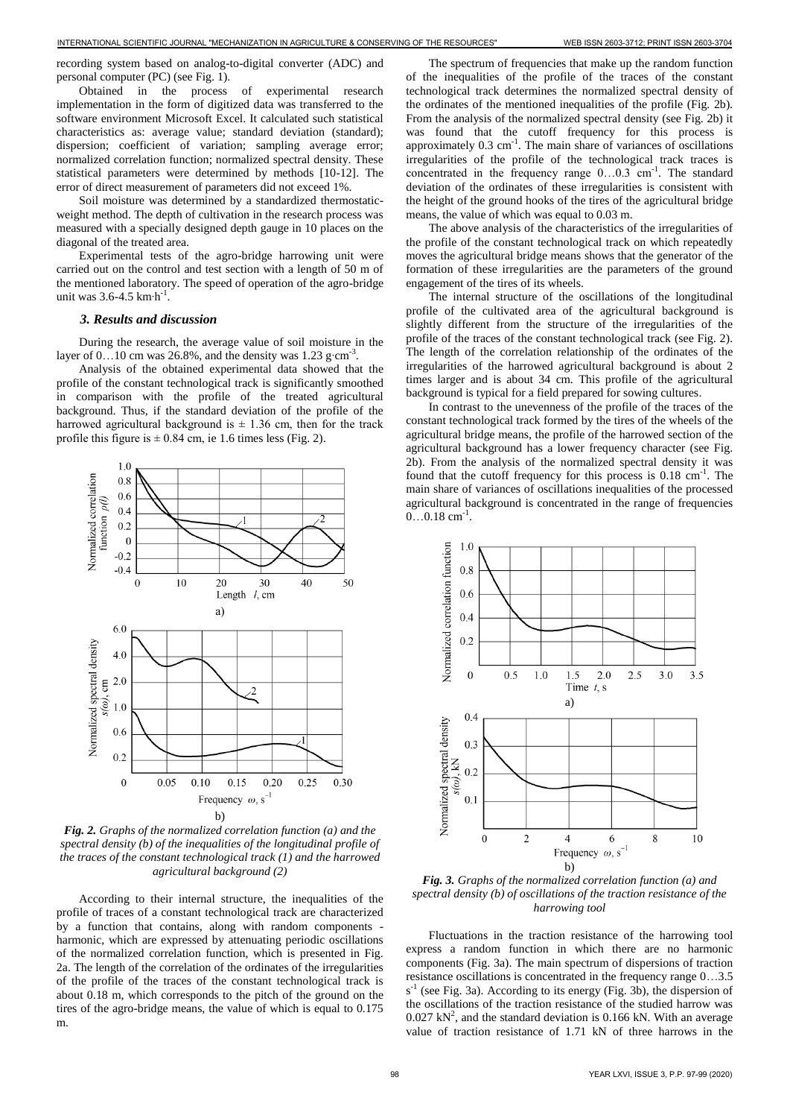recording system based on analog-to-digital converter (ADC) and personal computer (PC) (see Fig. 1).

Obtained in the process of experimental research implementation in the form of digitized data was transferred to the software environment Microsoft Excel. It calculated such statistical characteristics as: average value; standard deviation (standard); dispersion; coefficient of variation; sampling average error; normalized correlation function; normalized spectral density. These statistical parameters were determined by methods [10-12]. The error of direct measurement of parameters did not exceed 1%.

Soil moisture was determined by a standardized thermostaticweight method. The depth of cultivation in the research process was measured with a specially designed depth gauge in 10 places on the diagonal of the treated area.

Experimental tests of the agro-bridge harrowing unit were carried out on the control and test section with a length of 50 m of the mentioned laboratory. The speed of operation of the agro-bridge unit was 3.6-4.5 km⋅h<sup>-1</sup>.

#### *3. Results and discussion*

During the research, the average value of soil moisture in the layer of 0.…10 cm was 26.8%, and the density was 1.23 g⋅cm<sup>-3</sup>.

Analysis of the obtained experimental data showed that the profile of the constant technological track is significantly smoothed in comparison with the profile of the treated agricultural background. Thus, if the standard deviation of the profile of the harrowed agricultural background is  $\pm$  1.36 cm, then for the track profile this figure is  $\pm$  0.84 cm, ie 1.6 times less (Fig. 2).



*Fig. 2. Graphs of the normalized correlation function (a) and the spectral density (b) of the inequalities of the longitudinal profile of the traces of the constant technological track (1) and the harrowed agricultural background (2)* 

According to their internal structure, the inequalities of the profile of traces of a constant technological track are characterized by a function that contains, along with random components harmonic, which are expressed by attenuating periodic oscillations of the normalized correlation function, which is presented in Fig. 2a. The length of the correlation of the ordinates of the irregularities of the profile of the traces of the constant technological track is about 0.18 m, which corresponds to the pitch of the ground on the tires of the agro-bridge means, the value of which is equal to 0.175 m.

The spectrum of frequencies that make up the random function of the inequalities of the profile of the traces of the constant technological track determines the normalized spectral density of the ordinates of the mentioned inequalities of the profile (Fig. 2b). From the analysis of the normalized spectral density (see Fig. 2b) it was found that the cutoff frequency for this process is approximately  $0.3 \text{ cm}^{-1}$ . The main share of variances of oscillations irregularities of the profile of the technological track traces is concentrated in the frequency range  $0...0.3$  cm<sup>-1</sup>. The standard deviation of the ordinates of these irregularities is consistent with the height of the ground hooks of the tires of the agricultural bridge means, the value of which was equal to 0.03 m.

The above analysis of the characteristics of the irregularities of the profile of the constant technological track on which repeatedly moves the agricultural bridge means shows that the generator of the formation of these irregularities are the parameters of the ground engagement of the tires of its wheels.

The internal structure of the oscillations of the longitudinal profile of the cultivated area of the agricultural background is slightly different from the structure of the irregularities of the profile of the traces of the constant technological track (see Fig. 2). The length of the correlation relationship of the ordinates of the irregularities of the harrowed agricultural background is about 2 times larger and is about 34 cm. This profile of the agricultural background is typical for a field prepared for sowing cultures.

In contrast to the unevenness of the profile of the traces of the constant technological track formed by the tires of the wheels of the agricultural bridge means, the profile of the harrowed section of the agricultural background has a lower frequency character (see Fig. 2b). From the analysis of the normalized spectral density it was found that the cutoff frequency for this process is  $0.18 \text{ cm}^{-1}$ . The main share of variances of oscillations inequalities of the processed agricultural background is concentrated in the range of frequencies  $0...0.18$  cm<sup>-1</sup>.



*Fig. 3. Graphs of the normalized correlation function (a) and spectral density (b) of oscillations of the traction resistance of the harrowing tool* 

Fluctuations in the traction resistance of the harrowing tool express a random function in which there are no harmonic components (Fig. 3a). The main spectrum of dispersions of traction resistance oscillations is concentrated in the frequency range 0…3.5  $s<sup>-1</sup>$  (see Fig. 3a). According to its energy (Fig. 3b), the dispersion of the oscillations of the traction resistance of the studied harrow was  $0.027$  kN<sup>2</sup>, and the standard deviation is 0.166 kN. With an average value of traction resistance of 1.71 kN of three harrows in the